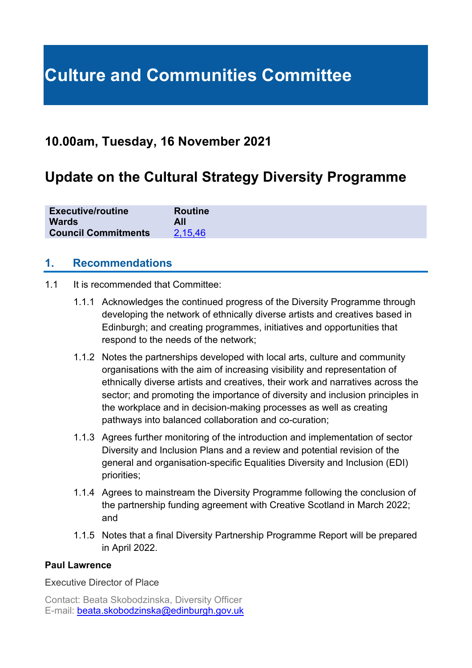# **Culture and Communities Committee**

# **10.00am, Tuesday, 16 November 2021**

# **Update on the Cultural Strategy Diversity Programme**

| <b>Executive/routine</b>   | <b>Routine</b> |
|----------------------------|----------------|
| <b>Wards</b>               | All            |
| <b>Council Commitments</b> | 2.15.46        |

### **1. Recommendations**

- 1.1 It is recommended that Committee:
	- 1.1.1 Acknowledges the continued progress of the Diversity Programme through developing the network of ethnically diverse artists and creatives based in Edinburgh; and creating programmes, initiatives and opportunities that respond to the needs of the network;
	- 1.1.2 Notes the partnerships developed with local arts, culture and community organisations with the aim of increasing visibility and representation of ethnically diverse artists and creatives, their work and narratives across the sector; and promoting the importance of diversity and inclusion principles in the workplace and in decision-making processes as well as creating pathways into balanced collaboration and co-curation;
	- 1.1.3 Agrees further monitoring of the introduction and implementation of sector Diversity and Inclusion Plans and a review and potential revision of the general and organisation-specific Equalities Diversity and Inclusion (EDI) priorities;
	- 1.1.4 Agrees to mainstream the Diversity Programme following the conclusion of the partnership funding agreement with Creative Scotland in March 2022; and
	- 1.1.5 Notes that a final Diversity Partnership Programme Report will be prepared in April 2022.

#### **Paul Lawrence**

Executive Director of Place

Contact: Beata Skobodzinska, Diversity Officer E-mail: [beata.skobodzinska@edinburgh.gov.uk](mailto:beata.skobodzinska@edinburgh.gov.uk)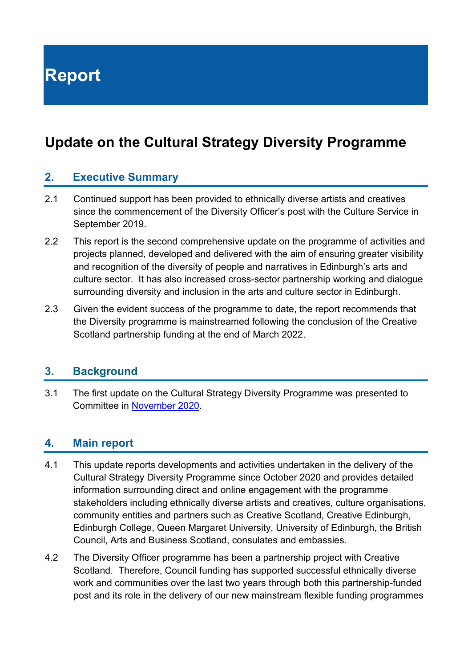**Report**

# **Update on the Cultural Strategy Diversity Programme**

### **2. Executive Summary**

- 2.1 Continued support has been provided to ethnically diverse artists and creatives since the commencement of the Diversity Officer's post with the Culture Service in September 2019.
- 2.2 This report is the second comprehensive update on the programme of activities and projects planned, developed and delivered with the aim of ensuring greater visibility and recognition of the diversity of people and narratives in Edinburgh's arts and culture sector. It has also increased cross-sector partnership working and dialogue surrounding diversity and inclusion in the arts and culture sector in Edinburgh.
- 2.3 Given the evident success of the programme to date, the report recommends that the Diversity programme is mainstreamed following the conclusion of the Creative Scotland partnership funding at the end of March 2022.

#### **3. Background**

3.1 The first update on the Cultural Strategy Diversity Programme was presented to Committee in [November 2020.](https://democracy.edinburgh.gov.uk/ieListDocuments.aspx?CId=139&MId=5761&Ver=4)

#### **4. Main report**

- 4.1 This update reports developments and activities undertaken in the delivery of the Cultural Strategy Diversity Programme since October 2020 and provides detailed information surrounding direct and online engagement with the programme stakeholders including ethnically diverse artists and creatives, culture organisations, community entities and partners such as Creative Scotland, Creative Edinburgh, Edinburgh College, Queen Margaret University, University of Edinburgh, the British Council, Arts and Business Scotland, consulates and embassies.
- 4.2 The Diversity Officer programme has been a partnership project with Creative Scotland. Therefore, Council funding has supported successful ethnically diverse work and communities over the last two years through both this partnership-funded post and its role in the delivery of our new mainstream flexible funding programmes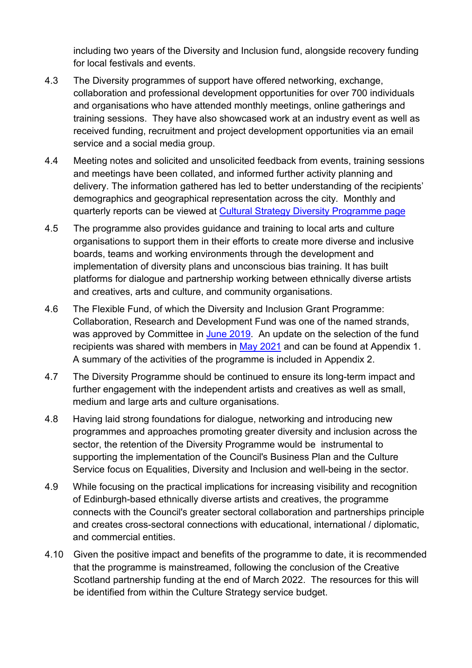including two years of the Diversity and Inclusion fund, alongside recovery funding for local festivals and events.

- 4.3 The Diversity programmes of support have offered networking, exchange, collaboration and professional development opportunities for over 700 individuals and organisations who have attended monthly meetings, online gatherings and training sessions. They have also showcased work at an industry event as well as received funding, recruitment and project development opportunities via an email service and a social media group.
- 4.4 Meeting notes and solicited and unsolicited feedback from events, training sessions and meetings have been collated, and informed further activity planning and delivery. The information gathered has led to better understanding of the recipients' demographics and geographical representation across the city. Monthly and quarterly reports can be viewed at [Cultural Strategy Diversity Programme page](https://cultureedinburgh.com/culture-partners/cultural-strategy-diversity-programme)
- 4.5 The programme also provides guidance and training to local arts and culture organisations to support them in their efforts to create more diverse and inclusive boards, teams and working environments through the development and implementation of diversity plans and unconscious bias training. It has built platforms for dialogue and partnership working between ethnically diverse artists and creatives, arts and culture, and community organisations.
- 4.6 The Flexible Fund, of which the Diversity and Inclusion Grant Programme: Collaboration, Research and Development Fund was one of the named strands, was approved by Committee in [June 2019.](https://democracy.edinburgh.gov.uk/CeListDocuments.aspx?CommitteeId=139&MeetingId=1293&DF=18%2f06%2f2019&Ver=2) An update on the selection of the fund recipients was shared with members in [May 2021](https://pub.lucidpress.com/06bb4805-b92e-4c0b-8db0-ffb4486c5647/) and can be found at Appendix 1. A summary of the activities of the programme is included in Appendix 2.
- 4.7 The Diversity Programme should be continued to ensure its long-term impact and further engagement with the independent artists and creatives as well as small, medium and large arts and culture organisations.
- 4.8 Having laid strong foundations for dialogue, networking and introducing new programmes and approaches promoting greater diversity and inclusion across the sector, the retention of the Diversity Programme would be instrumental to supporting the implementation of the Council's Business Plan and the Culture Service focus on Equalities, Diversity and Inclusion and well-being in the sector.
- 4.9 While focusing on the practical implications for increasing visibility and recognition of Edinburgh-based ethnically diverse artists and creatives, the programme connects with the Council's greater sectoral collaboration and partnerships principle and creates cross-sectoral connections with educational, international / diplomatic, and commercial entities.
- 4.10 Given the positive impact and benefits of the programme to date, it is recommended that the programme is mainstreamed, following the conclusion of the Creative Scotland partnership funding at the end of March 2022. The resources for this will be identified from within the Culture Strategy service budget.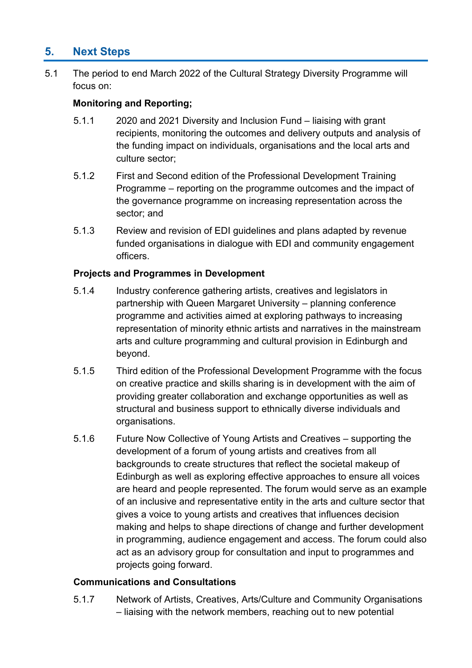# **5. Next Steps**

5.1 The period to end March 2022 of the Cultural Strategy Diversity Programme will focus on:

#### **Monitoring and Reporting;**

- 5.1.1 2020 and 2021 Diversity and Inclusion Fund liaising with grant recipients, monitoring the outcomes and delivery outputs and analysis of the funding impact on individuals, organisations and the local arts and culture sector;
- 5.1.2 First and Second edition of the Professional Development Training Programme – reporting on the programme outcomes and the impact of the governance programme on increasing representation across the sector; and
- 5.1.3 Review and revision of EDI guidelines and plans adapted by revenue funded organisations in dialogue with EDI and community engagement officers.

#### **Projects and Programmes in Development**

- 5.1.4 Industry conference gathering artists, creatives and legislators in partnership with Queen Margaret University – planning conference programme and activities aimed at exploring pathways to increasing representation of minority ethnic artists and narratives in the mainstream arts and culture programming and cultural provision in Edinburgh and beyond.
- 5.1.5 Third edition of the Professional Development Programme with the focus on creative practice and skills sharing is in development with the aim of providing greater collaboration and exchange opportunities as well as structural and business support to ethnically diverse individuals and organisations.
- 5.1.6 Future Now Collective of Young Artists and Creatives supporting the development of a forum of young artists and creatives from all backgrounds to create structures that reflect the societal makeup of Edinburgh as well as exploring effective approaches to ensure all voices are heard and people represented. The forum would serve as an example of an inclusive and representative entity in the arts and culture sector that gives a voice to young artists and creatives that influences decision making and helps to shape directions of change and further development in programming, audience engagement and access. The forum could also act as an advisory group for consultation and input to programmes and projects going forward.

#### **Communications and Consultations**

5.1.7 Network of Artists, Creatives, Arts/Culture and Community Organisations – liaising with the network members, reaching out to new potential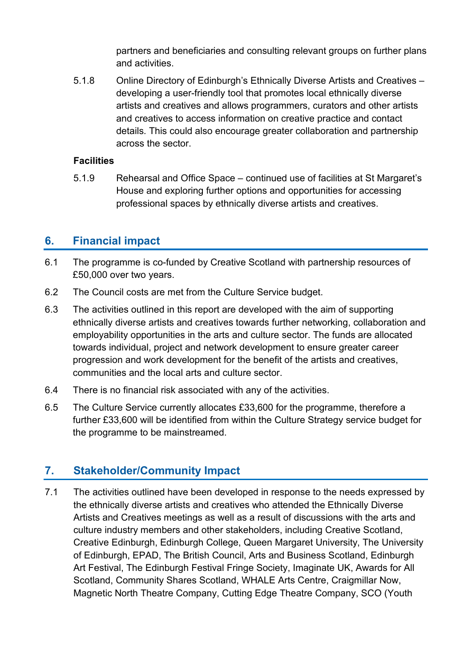partners and beneficiaries and consulting relevant groups on further plans and activities.

5.1.8 Online Directory of Edinburgh's Ethnically Diverse Artists and Creatives – developing a user-friendly tool that promotes local ethnically diverse artists and creatives and allows programmers, curators and other artists and creatives to access information on creative practice and contact details*.* This could also encourage greater collaboration and partnership across the sector.

#### **Facilities**

5.1.9 Rehearsal and Office Space – continued use of facilities at St Margaret's House and exploring further options and opportunities for accessing professional spaces by ethnically diverse artists and creatives.

# **6. Financial impact**

- 6.1 The programme is co-funded by Creative Scotland with partnership resources of £50,000 over two years.
- 6.2 The Council costs are met from the Culture Service budget.
- 6.3 The activities outlined in this report are developed with the aim of supporting ethnically diverse artists and creatives towards further networking, collaboration and employability opportunities in the arts and culture sector. The funds are allocated towards individual, project and network development to ensure greater career progression and work development for the benefit of the artists and creatives, communities and the local arts and culture sector.
- 6.4 There is no financial risk associated with any of the activities.
- 6.5 The Culture Service currently allocates £33,600 for the programme, therefore a further £33,600 will be identified from within the Culture Strategy service budget for the programme to be mainstreamed.

# **7. Stakeholder/Community Impact**

7.1 The activities outlined have been developed in response to the needs expressed by the ethnically diverse artists and creatives who attended the Ethnically Diverse Artists and Creatives meetings as well as a result of discussions with the arts and culture industry members and other stakeholders, including Creative Scotland, Creative Edinburgh, Edinburgh College, Queen Margaret University, The University of Edinburgh, EPAD, The British Council, Arts and Business Scotland, Edinburgh Art Festival, The Edinburgh Festival Fringe Society, Imaginate UK, Awards for All Scotland, Community Shares Scotland, WHALE Arts Centre, Craigmillar Now, Magnetic North Theatre Company, Cutting Edge Theatre Company, SCO (Youth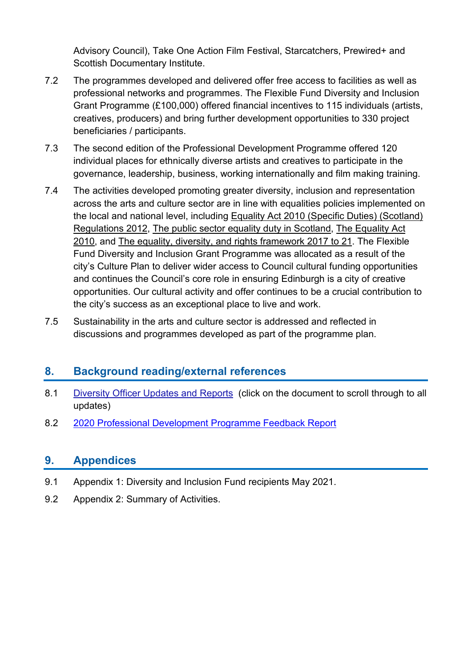Advisory Council), Take One Action Film Festival, Starcatchers, Prewired+ and Scottish Documentary Institute.

- 7.2 The programmes developed and delivered offer free access to facilities as well as professional networks and programmes. The Flexible Fund Diversity and Inclusion Grant Programme (£100,000) offered financial incentives to 115 individuals (artists, creatives, producers) and bring further development opportunities to 330 project beneficiaries / participants.
- 7.3 The second edition of the Professional Development Programme offered 120 individual places for ethnically diverse artists and creatives to participate in the governance, leadership, business, working internationally and film making training.
- 7.4 The activities developed promoting greater diversity, inclusion and representation across the arts and culture sector are in line with equalities policies implemented on the local and national level, including [Equality Act 2010 \(Specific Duties\) \(Scotland\)](http://legislation.gov.uk/ssi/2012/162/contents/made)  [Regulations 2012,](http://legislation.gov.uk/ssi/2012/162/contents/made) [The public sector equality duty in Scotland,](http://www.equalityhumanrights.com/en/advice-and-guidance/public-sector-equality-duty) [The Equality Act](https://www.gov.uk/guidance/equality-act-2010-guidance)  [2010,](https://www.gov.uk/guidance/equality-act-2010-guidance) and [The equality, diversity, and rights framework 2017 to 21.](http://www.edinburgh.gov.uk/equalitiesframework) The Flexible Fund Diversity and Inclusion Grant Programme was allocated as a result of the city's Culture Plan to deliver wider access to Council cultural funding opportunities and continues the Council's core role in ensuring Edinburgh is a city of creative opportunities. Our cultural activity and offer continues to be a crucial contribution to the city's success as an exceptional place to live and work.
- 7.5 Sustainability in the arts and culture sector is addressed and reflected in discussions and programmes developed as part of the programme plan.

## **8. Background reading/external references**

- 8.1 [Diversity Officer Updates and Reports](https://my.visme.co/projects/76pmnw77-diversity-officer-priorities-and-monthly-reports#s10) (click on the document to scroll through to all updates)
- 8.2 [2020 Professional Development Programme Feedback Report](https://my.visme.co/view/y4mq93dj-cec-diversity-programme-professional-development-training-feedback)

# **9. Appendices**

- 9.1 Appendix 1: Diversity and Inclusion Fund recipients May 2021.
- 9.2 Appendix 2: Summary of Activities.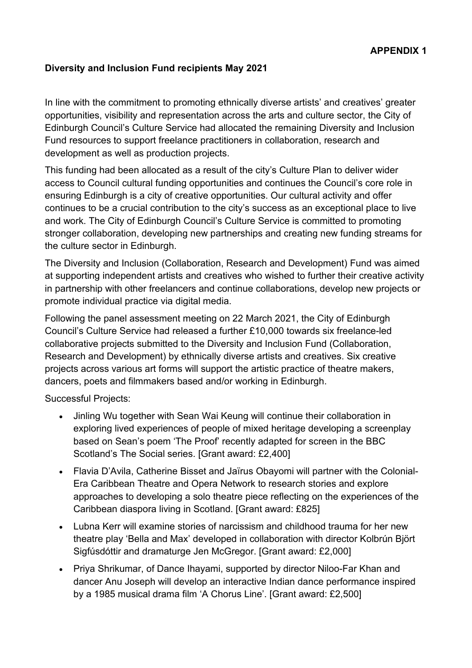#### **Diversity and Inclusion Fund recipients May 2021**

In line with the commitment to promoting ethnically diverse artists' and creatives' greater opportunities, visibility and representation across the arts and culture sector, the City of Edinburgh Council's Culture Service had allocated the remaining Diversity and Inclusion Fund resources to support freelance practitioners in collaboration, research and development as well as production projects.

This funding had been allocated as a result of the city's Culture Plan to deliver wider access to Council cultural funding opportunities and continues the Council's core role in ensuring Edinburgh is a city of creative opportunities. Our cultural activity and offer continues to be a crucial contribution to the city's success as an exceptional place to live and work. The City of Edinburgh Council's Culture Service is committed to promoting stronger collaboration, developing new partnerships and creating new funding streams for the culture sector in Edinburgh.

The Diversity and Inclusion (Collaboration, Research and Development) Fund was aimed at supporting independent artists and creatives who wished to further their creative activity in partnership with other freelancers and continue collaborations, develop new projects or promote individual practice via digital media.

Following the panel assessment meeting on 22 March 2021, the City of Edinburgh Council's Culture Service had released a further £10,000 towards six freelance-led collaborative projects submitted to the Diversity and Inclusion Fund (Collaboration, Research and Development) by ethnically diverse artists and creatives. Six creative projects across various art forms will support the artistic practice of theatre makers, dancers, poets and filmmakers based and/or working in Edinburgh.

Successful Projects:

- Jinling Wu together with Sean Wai Keung will continue their collaboration in exploring lived experiences of people of mixed heritage developing a screenplay based on Sean's poem 'The Proof' recently adapted for screen in the BBC Scotland's The Social series. [Grant award: £2,400]
- Flavia D'Avila, Catherine Bisset and Jaïrus Obayomi will partner with the Colonial-Era Caribbean Theatre and Opera Network to research stories and explore approaches to developing a solo theatre piece reflecting on the experiences of the Caribbean diaspora living in Scotland. [Grant award: £825]
- Lubna Kerr will examine stories of narcissism and childhood trauma for her new theatre play 'Bella and Max' developed in collaboration with director Kolbrún Björt Sigfúsdóttir and dramaturge Jen McGregor. [Grant award: £2,000]
- Priya Shrikumar, of Dance Ihayami, supported by director Niloo-Far Khan and dancer Anu Joseph will develop an interactive Indian dance performance inspired by a 1985 musical drama film 'A Chorus Line'. [Grant award: £2,500]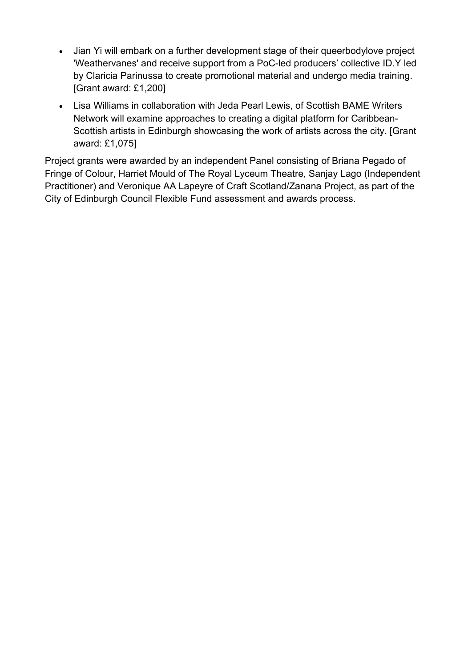- Jian Yi will embark on a further development stage of their queerbodylove project 'Weathervanes' and receive support from a PoC-led producers' collective ID.Y led by Claricia Parinussa to create promotional material and undergo media training. [Grant award: £1,200]
- Lisa Williams in collaboration with Jeda Pearl Lewis, of Scottish BAME Writers Network will examine approaches to creating a digital platform for Caribbean-Scottish artists in Edinburgh showcasing the work of artists across the city. [Grant award: £1,075]

Project grants were awarded by an independent Panel consisting of Briana Pegado of Fringe of Colour, Harriet Mould of The Royal Lyceum Theatre, Sanjay Lago (Independent Practitioner) and Veronique AA Lapeyre of Craft Scotland/Zanana Project, as part of the City of Edinburgh Council Flexible Fund assessment and awards process.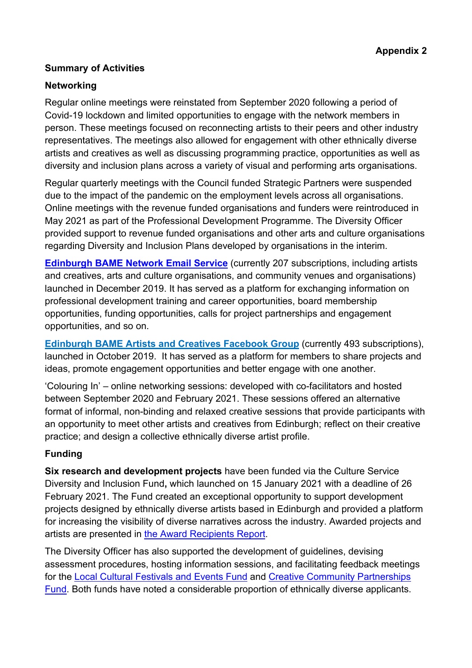#### **Summary of Activities**

#### **Networking**

Regular online meetings were reinstated from September 2020 following a period of Covid-19 lockdown and limited opportunities to engage with the network members in person. These meetings focused on reconnecting artists to their peers and other industry representatives. The meetings also allowed for engagement with other ethnically diverse artists and creatives as well as discussing programming practice, opportunities as well as diversity and inclusion plans across a variety of visual and performing arts organisations.

Regular quarterly meetings with the Council funded Strategic Partners were suspended due to the impact of the pandemic on the employment levels across all organisations. Online meetings with the revenue funded organisations and funders were reintroduced in May 2021 as part of the Professional Development Programme. The Diversity Officer provided support to revenue funded organisations and other arts and culture organisations regarding Diversity and Inclusion Plans developed by organisations in the interim.

**[Edinburgh BAME Network Email Service](https://gaggle.email/join/members@edinbamenetwork.co.uk)** (currently 207 subscriptions, including artists and creatives, arts and culture organisations, and community venues and organisations) launched in December 2019. It has served as a platform for exchanging information on professional development training and career opportunities, board membership opportunities, funding opportunities, calls for project partnerships and engagement opportunities, and so on.

**[Edinburgh BAME Artists and Creatives Facebook Group](https://sw-ke.facebook.com/groups/764243544022728/?ref=pages_profile_groups_tab&source_id=480132512089732)** (currently 493 subscriptions), launched in October 2019. It has served as a platform for members to share projects and ideas, promote engagement opportunities and better engage with one another.

'Colouring In' – online networking sessions: developed with co-facilitators and hosted between September 2020 and February 2021. These sessions offered an alternative format of informal, non-binding and relaxed creative sessions that provide participants with an opportunity to meet other artists and creatives from Edinburgh; reflect on their creative practice; and design a collective ethnically diverse artist profile.

#### **Funding**

**Six research and development projects** have been funded via the Culture Service Diversity and Inclusion Fund**,** which launched on 15 January 2021 with a deadline of 26 February 2021. The Fund created an exceptional opportunity to support development projects designed by ethnically diverse artists based in Edinburgh and provided a platform for increasing the visibility of diverse narratives across the industry. Awarded projects and artists are presented in [the Award Recipients Report.](https://cultureedinburgh.com/updates/diversity-inclusion-collaboration-research-development-fund-202021-award-recipients)

The Diversity Officer has also supported the development of guidelines, devising assessment procedures, hosting information sessions, and facilitating feedback meetings for the [Local Cultural Festivals and Events Fund](https://cultureedinburgh.com/updates/creative-community-partnerships-collaboration-exchange-fund) and [Creative Community Partnerships](https://cultureedinburgh.com/updates/local-cultural-festivals-events-fund-2021-22)  [Fund.](https://cultureedinburgh.com/updates/local-cultural-festivals-events-fund-2021-22) Both funds have noted a considerable proportion of ethnically diverse applicants.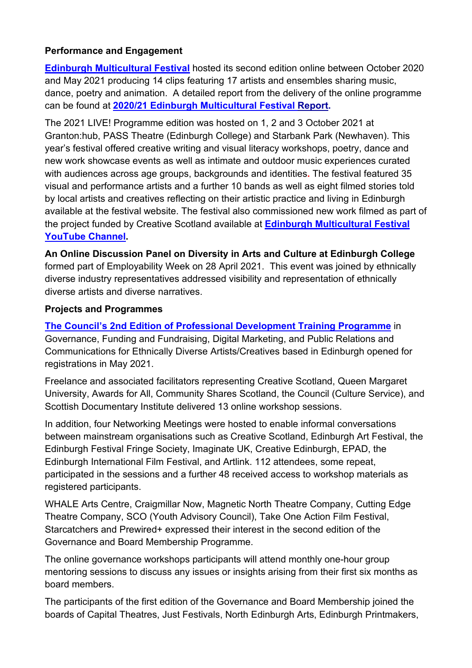#### **Performance and Engagement**

**[Edinburgh Multicultural Festival](https://www.edmcf.co.uk/)** hosted its second edition online between October 2020 and May 2021 producing 14 clips featuring 17 artists and ensembles sharing music, dance, poetry and animation. A detailed report from the delivery of the online programme can be found at **[2020/21 Edinburgh Multicultural Festival Report.](https://app.lucidpress.com/invitations/accept/inv_2b347708-67f6-4e3d-8f83-1cd428e79846)** 

The 2021 LIVE! Programme edition was hosted on 1, 2 and 3 October 2021 at Granton:hub, PASS Theatre (Edinburgh College) and Starbank Park (Newhaven). This year's festival offered creative writing and visual literacy workshops, poetry, dance and new work showcase events as well as intimate and outdoor music experiences curated with audiences across age groups, backgrounds and identities**.** The festival featured 35 visual and performance artists and a further 10 bands as well as eight filmed stories told by local artists and creatives reflecting on their artistic practice and living in Edinburgh available at the festival website. The festival also commissioned new work filmed as part of the project funded by Creative Scotland available at **[Edinburgh Multicultural Festival](https://www.youtube.com/channel/UCd6us4BoJauck9ZFtxn71Yg)  [YouTube Channel.](https://www.youtube.com/channel/UCd6us4BoJauck9ZFtxn71Yg)**

**An Online Discussion Panel on Diversity in Arts and Culture at Edinburgh College**  formed part of Employability Week on 28 April 2021. This event was joined by ethnically diverse industry representatives addressed visibility and representation of ethnically diverse artists and diverse narratives.

#### **Projects and Programmes**

**The Council's [2nd Edition of Professional Development T](https://cultureedinburgh.com/updates/professional-development-programme-2021)raining Programme** in Governance, Funding and Fundraising, Digital Marketing, and Public Relations and Communications for Ethnically Diverse Artists/Creatives based in Edinburgh opened for registrations in May 2021.

Freelance and associated facilitators representing Creative Scotland, Queen Margaret University, Awards for All, Community Shares Scotland, the Council (Culture Service), and Scottish Documentary Institute delivered 13 online workshop sessions.

In addition, four Networking Meetings were hosted to enable informal conversations between mainstream organisations such as Creative Scotland, Edinburgh Art Festival, the Edinburgh Festival Fringe Society, Imaginate UK, Creative Edinburgh, EPAD, the Edinburgh International Film Festival, and Artlink. 112 attendees, some repeat, participated in the sessions and a further 48 received access to workshop materials as registered participants.

WHALE Arts Centre, Craigmillar Now, Magnetic North Theatre Company, Cutting Edge Theatre Company, SCO (Youth Advisory Council), Take One Action Film Festival, Starcatchers and Prewired+ expressed their interest in the second edition of the Governance and Board Membership Programme.

The online governance workshops participants will attend monthly one-hour group mentoring sessions to discuss any issues or insights arising from their first six months as board members.

The participants of the first edition of the Governance and Board Membership joined the boards of Capital Theatres, Just Festivals, North Edinburgh Arts, Edinburgh Printmakers,